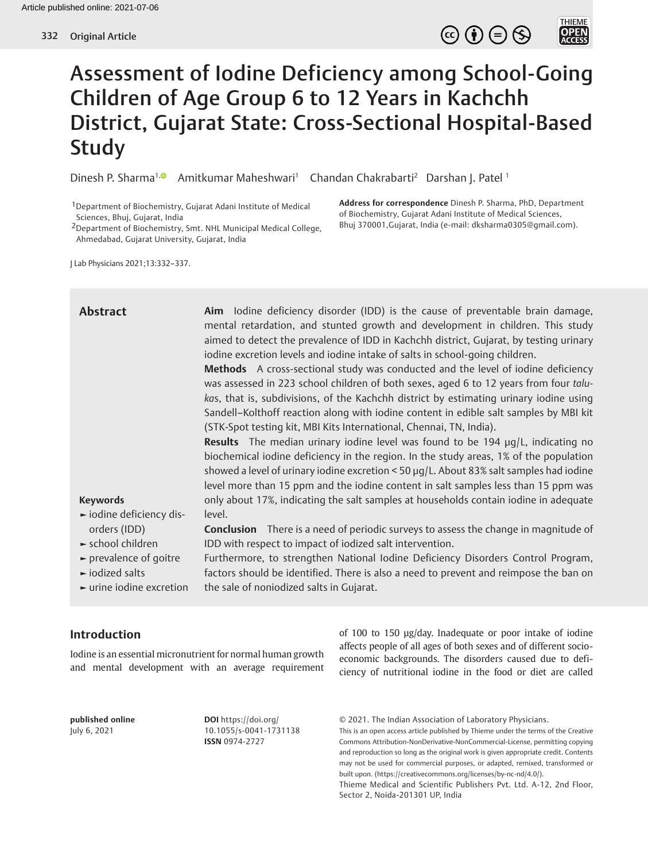

# Assessment of Iodine Deficiency among School-Going Children of Age Group 6 to 12 Years in Kachchh District, Gujarat State: Cross-Sectional Hospital-Based Study

Dinesh P. Sharma<sup>1[,](http://orcid.org/0000-0002-6184-857X)®</sup> Amitkumar Maheshwari<sup>1</sup> Chandan Chakrabarti<sup>2</sup> Darshan J. Patel <sup>1</sup>

1Department of Biochemistry, Gujarat Adani Institute of Medical Sciences, Bhuj, Gujarat, India

2Department of Biochemistry, Smt. NHL Municipal Medical College, Ahmedabad, Gujarat University, Gujarat, India

**Address for correspondence** Dinesh P. Sharma, PhD, Department of Biochemistry, Gujarat Adani Institute of Medical Sciences, Bhuj 370001,Gujarat, India (e-mail: dksharma0305@gmail.com).

J Lab Physicians 2021;13:332–337.

| <b>Abstract</b><br><b>Keywords</b><br>iodine deficiency dis-<br>orders (IDD)<br>$\blacktriangleright$ school children<br>$\blacktriangleright$ prevalence of goitre<br>$\blacktriangleright$ iodized salts | Aim lodine deficiency disorder (IDD) is the cause of preventable brain damage,<br>mental retardation, and stunted growth and development in children. This study<br>aimed to detect the prevalence of IDD in Kachchh district, Gujarat, by testing urinary<br>iodine excretion levels and iodine intake of salts in school-going children.<br>Methods A cross-sectional study was conducted and the level of iodine deficiency<br>was assessed in 223 school children of both sexes, aged 6 to 12 years from four talu-<br>kas, that is, subdivisions, of the Kachchh district by estimating urinary iodine using<br>Sandell-Kolthoff reaction along with iodine content in edible salt samples by MBI kit<br>(STK-Spot testing kit, MBI Kits International, Chennai, TN, India).<br><b>Results</b> The median urinary iodine level was found to be 194 $\mu$ g/L, indicating no<br>biochemical iodine deficiency in the region. In the study areas, 1% of the population<br>showed a level of urinary iodine excretion < 50 µg/L. About 83% salt samples had iodine<br>level more than 15 ppm and the iodine content in salt samples less than 15 ppm was<br>only about 17%, indicating the salt samples at households contain iodine in adequate<br>level.<br><b>Conclusion</b> There is a need of periodic surveys to assess the change in magnitude of<br>IDD with respect to impact of iodized salt intervention.<br>Furthermore, to strengthen National Iodine Deficiency Disorders Control Program,<br>factors should be identified. There is also a need to prevent and reimpose the ban on |
|------------------------------------------------------------------------------------------------------------------------------------------------------------------------------------------------------------|-----------------------------------------------------------------------------------------------------------------------------------------------------------------------------------------------------------------------------------------------------------------------------------------------------------------------------------------------------------------------------------------------------------------------------------------------------------------------------------------------------------------------------------------------------------------------------------------------------------------------------------------------------------------------------------------------------------------------------------------------------------------------------------------------------------------------------------------------------------------------------------------------------------------------------------------------------------------------------------------------------------------------------------------------------------------------------------------------------------------------------------------------------------------------------------------------------------------------------------------------------------------------------------------------------------------------------------------------------------------------------------------------------------------------------------------------------------------------------------------------------------------------------------------------------------------------------------------------------|
| $\blacktriangleright$ urine iodine excretion                                                                                                                                                               | the sale of noniodized salts in Gujarat.                                                                                                                                                                                                                                                                                                                                                                                                                                                                                                                                                                                                                                                                                                                                                                                                                                                                                                                                                                                                                                                                                                                                                                                                                                                                                                                                                                                                                                                                                                                                                            |

# **Introduction**

Iodine is an essential micronutrient for normal human growth and mental development with an average requirement

of 100 to 150 μg/day. Inadequate or poor intake of iodine affects people of all ages of both sexes and of different socioeconomic backgrounds. The disorders caused due to deficiency of nutritional iodine in the food or diet are called

**published online** July 6, 2021

**DOI** https://doi.org/ 10.1055/s-0041-1731138 **ISSN** 0974-2727

© 2021. The Indian Association of Laboratory Physicians.

This is an open access article published by Thieme under the terms of the Creative Commons Attribution-NonDerivative-NonCommercial-License, permitting copying and reproduction so long as the original work is given appropriate credit. Contents may not be used for commercial purposes, or adapted, remixed, transformed or built upon. (https://creativecommons.org/licenses/by-nc-nd/4.0/).

Thieme Medical and Scientific Publishers Pvt. Ltd. A-12, 2nd Floor, Sector 2, Noida-201301 UP, India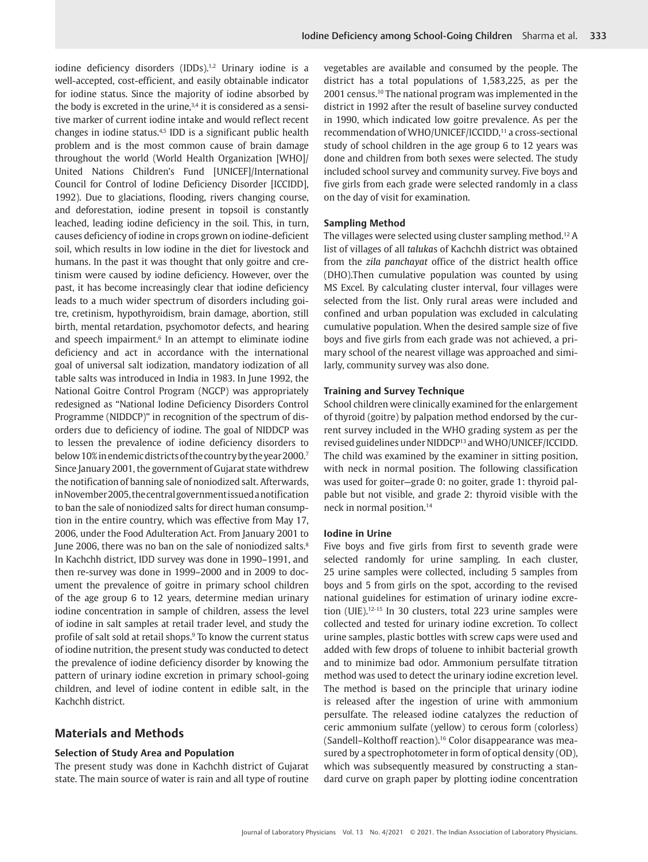iodine deficiency disorders (IDDs).<sup>1,2</sup> Urinary iodine is a well-accepted, cost-efficient, and easily obtainable indicator for iodine status. Since the majority of iodine absorbed by the body is excreted in the urine,  $3,4$  it is considered as a sensitive marker of current iodine intake and would reflect recent changes in iodine status.<sup>4,5</sup> IDD is a significant public health problem and is the most common cause of brain damage throughout the world (World Health Organization [WHO]/ United Nations Children's Fund [UNICEF]/International Council for Control of Iodine Deficiency Disorder [ICCIDD], 1992). Due to glaciations, flooding, rivers changing course, and deforestation, iodine present in topsoil is constantly leached, leading iodine deficiency in the soil. This, in turn, causes deficiency of iodine in crops grown on iodine-deficient soil, which results in low iodine in the diet for livestock and humans. In the past it was thought that only goitre and cretinism were caused by iodine deficiency. However, over the past, it has become increasingly clear that iodine deficiency leads to a much wider spectrum of disorders including goitre, cretinism, hypothyroidism, brain damage, abortion, still birth, mental retardation, psychomotor defects, and hearing and speech impairment.<sup>6</sup> In an attempt to eliminate iodine deficiency and act in accordance with the international goal of universal salt iodization, mandatory iodization of all table salts was introduced in India in 1983. In June 1992, the National Goitre Control Program (NGCP) was appropriately redesigned as "National Iodine Deficiency Disorders Control Programme (NIDDCP)" in recognition of the spectrum of disorders due to deficiency of iodine. The goal of NIDDCP was to lessen the prevalence of iodine deficiency disorders to below 10% in endemic districts of the country by the year 2000.7 Since January 2001, the government of Gujarat state withdrew the notification of banning sale of noniodized salt. Afterwards, in November 2005, the central government issued a notification to ban the sale of noniodized salts for direct human consumption in the entire country, which was effective from May 17, 2006, under the Food Adulteration Act. From January 2001 to June 2006, there was no ban on the sale of noniodized salts.<sup>8</sup> In Kachchh district, IDD survey was done in 1990–1991, and then re-survey was done in 1999–2000 and in 2009 to document the prevalence of goitre in primary school children of the age group 6 to 12 years, determine median urinary iodine concentration in sample of children, assess the level of iodine in salt samples at retail trader level, and study the profile of salt sold at retail shops.9 To know the current status of iodine nutrition, the present study was conducted to detect the prevalence of iodine deficiency disorder by knowing the pattern of urinary iodine excretion in primary school-going children, and level of iodine content in edible salt, in the Kachchh district.

## **Materials and Methods**

#### **Selection of Study Area and Population**

The present study was done in Kachchh district of Gujarat state. The main source of water is rain and all type of routine

vegetables are available and consumed by the people. The district has a total populations of 1,583,225, as per the 2001 census.10 The national program was implemented in the district in 1992 after the result of baseline survey conducted in 1990, which indicated low goitre prevalence. As per the recommendation of WHO/UNICEF/ICCIDD,<sup>11</sup> a cross-sectional study of school children in the age group 6 to 12 years was done and children from both sexes were selected. The study included school survey and community survey. Five boys and five girls from each grade were selected randomly in a class on the day of visit for examination.

#### **Sampling Method**

The villages were selected using cluster sampling method.12 A list of villages of all *taluka*s of Kachchh district was obtained from the *zila panchayat* office of the district health office (DHO).Then cumulative population was counted by using MS Excel. By calculating cluster interval, four villages were selected from the list. Only rural areas were included and confined and urban population was excluded in calculating cumulative population. When the desired sample size of five boys and five girls from each grade was not achieved, a primary school of the nearest village was approached and similarly, community survey was also done.

#### **Training and Survey Technique**

School children were clinically examined for the enlargement of thyroid (goitre) by palpation method endorsed by the current survey included in the WHO grading system as per the revised guidelines under NIDDCP13 and WHO/UNICEF/ICCIDD. The child was examined by the examiner in sitting position, with neck in normal position. The following classification was used for goiter—grade 0: no goiter, grade 1: thyroid palpable but not visible, and grade 2: thyroid visible with the neck in normal position.<sup>14</sup>

#### **Iodine in Urine**

Five boys and five girls from first to seventh grade were selected randomly for urine sampling. In each cluster, 25 urine samples were collected, including 5 samples from boys and 5 from girls on the spot, according to the revised national guidelines for estimation of urinary iodine excretion (UIE).12-15 In 30 clusters, total 223 urine samples were collected and tested for urinary iodine excretion. To collect urine samples, plastic bottles with screw caps were used and added with few drops of toluene to inhibit bacterial growth and to minimize bad odor. Ammonium persulfate titration method was used to detect the urinary iodine excretion level. The method is based on the principle that urinary iodine is released after the ingestion of urine with ammonium persulfate. The released iodine catalyzes the reduction of ceric ammonium sulfate (yellow) to cerous form (colorless) (Sandell–Kolthoff reaction).16 Color disappearance was measured by a spectrophotometer in form of optical density (OD), which was subsequently measured by constructing a standard curve on graph paper by plotting iodine concentration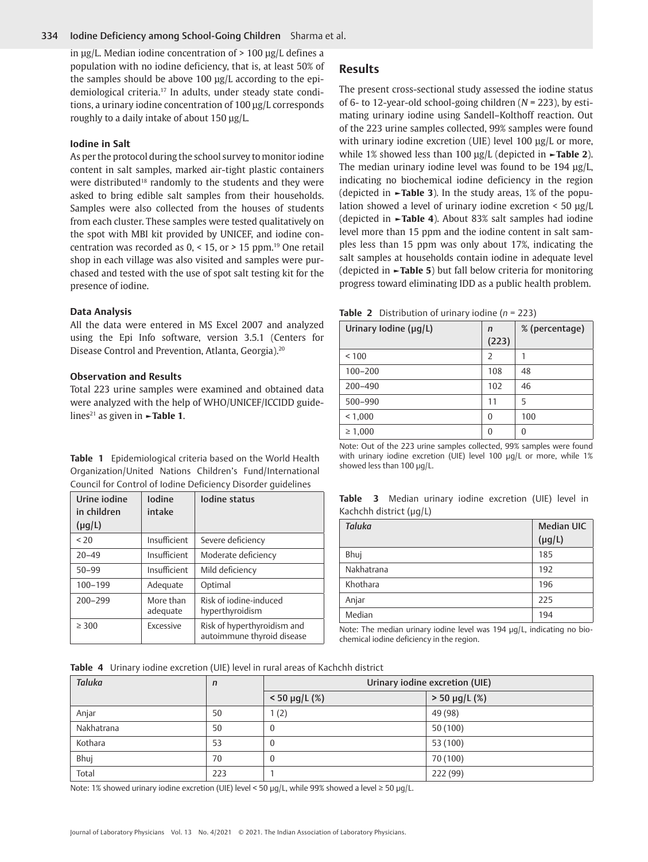#### 334 Iodine Deficiency among School-Going Children Sharma et al.

in μg/L. Median iodine concentration of > 100 μg/L defines a population with no iodine deficiency, that is, at least 50% of the samples should be above 100 μg/L according to the epidemiological criteria.17 In adults, under steady state conditions, a urinary iodine concentration of 100 μg/L corresponds roughly to a daily intake of about 150 μg/L.

#### **Iodine in Salt**

As per the protocol during the school survey to monitor iodine content in salt samples, marked air-tight plastic containers were distributed<sup>18</sup> randomly to the students and they were asked to bring edible salt samples from their households. Samples were also collected from the houses of students from each cluster. These samples were tested qualitatively on the spot with MBI kit provided by UNICEF, and iodine concentration was recorded as 0, < 15, or *>* 15 ppm.19 One retail shop in each village was also visited and samples were purchased and tested with the use of spot salt testing kit for the presence of iodine.

#### **Data Analysis**

All the data were entered in MS Excel 2007 and analyzed using the Epi Info software, version 3.5.1 (Centers for Disease Control and Prevention, Atlanta, Georgia).20

#### **Observation and Results**

Total 223 urine samples were examined and obtained data were analyzed with the help of WHO/UNICEF/ICCIDD guidelines21 as given in **►Table 1**.

**Table 1** Epidemiological criteria based on the World Health Organization/United Nations Children's Fund/International Council for Control of Iodine Deficiency Disorder guidelines

| Urine jodine<br>in children<br>$(\mu g/L)$ | <b>Iodine</b><br>intake | lodine status                                             |
|--------------------------------------------|-------------------------|-----------------------------------------------------------|
| < 20                                       | Insufficient            | Severe deficiency                                         |
| $20 - 49$                                  | Insufficient            | Moderate deficiency                                       |
| $50 - 99$                                  | Insufficient            | Mild deficiency                                           |
| $100 - 199$                                | Adequate                | Optimal                                                   |
| $200 - 299$                                | More than<br>adequate   | Risk of jodine-induced<br>hyperthyroidism                 |
| $\geq 300$                                 | Excessive               | Risk of hyperthyroidism and<br>autoimmune thyroid disease |

### **Results**

The present cross-sectional study assessed the iodine status of 6- to 12-year-old school-going children (*N* = 223), by estimating urinary iodine using Sandell–Kolthoff reaction. Out of the 223 urine samples collected, 99% samples were found with urinary iodine excretion (UIE) level 100 μg/L or more, while 1% showed less than 100 μg/L (depicted in **►Table 2**). The median urinary iodine level was found to be 194 μg/L, indicating no biochemical iodine deficiency in the region (depicted in **►Table 3**). In the study areas, 1% of the population showed a level of urinary iodine excretion < 50 μg/L (depicted in **►Table 4**). About 83% salt samples had iodine level more than 15 ppm and the iodine content in salt samples less than 15 ppm was only about 17%, indicating the salt samples at households contain iodine in adequate level (depicted in **►Table 5**) but fall below criteria for monitoring progress toward eliminating IDD as a public health problem.

|  | Table 2 Distribution of urinary iodine ( $n = 223$ ) |  |  |  |
|--|------------------------------------------------------|--|--|--|
|--|------------------------------------------------------|--|--|--|

| Urinary Iodine ( $\mu q/L$ ) | n        | % (percentage) |
|------------------------------|----------|----------------|
|                              | (223)    |                |
| < 100                        | 2        | 1              |
| $100 - 200$                  | 108      | 48             |
| $200 - 490$                  | 102      | 46             |
| 500-990                      | 11       | 5              |
| < 1,000                      | $\theta$ | 100            |
| $\geq 1,000$                 | 0        | $\theta$       |

Note: Out of the 223 urine samples collected, 99% samples were found with urinary iodine excretion (UIE) level 100 μg/L or more, while 1% showed less than 100 μg/L.

|  |                              |  | Table 3 Median urinary iodine excretion (UIE) level in |  |  |
|--|------------------------------|--|--------------------------------------------------------|--|--|
|  | Kachchh district $(\mu g/L)$ |  |                                                        |  |  |

| Taluka     | <b>Median UIC</b><br>$(\mu g/L)$ |
|------------|----------------------------------|
| Bhuj       | 185                              |
| Nakhatrana | 192                              |
| Khothara   | 196                              |
| Anjar      | 225                              |
| Median     | 194                              |

Note: The median urinary iodine level was 194 μg/L, indicating no biochemical iodine deficiency in the region.

**Table 4** Urinary iodine excretion (UIE) level in rural areas of Kachchh district

| <b>Taluka</b> | $\mathsf{n}$ | Urinary iodine excretion (UIE) |                    |  |  |  |
|---------------|--------------|--------------------------------|--------------------|--|--|--|
|               |              | $< 50 \mu g/L (%)$             | $> 50 \mu g/L$ (%) |  |  |  |
| Anjar         | 50           | 1(2)                           | 49 (98)            |  |  |  |
| Nakhatrana    | 50           | 0                              | 50(100)            |  |  |  |
| Kothara       | 53           | 0                              | 53 (100)           |  |  |  |
| Bhuj          | 70           | 0                              | 70 (100)           |  |  |  |
| Total         | 223          |                                | 222 (99)           |  |  |  |

Note: 1% showed urinary iodine excretion (UIE) level < 50 μg/L, while 99% showed a level ≥ 50 μg/L.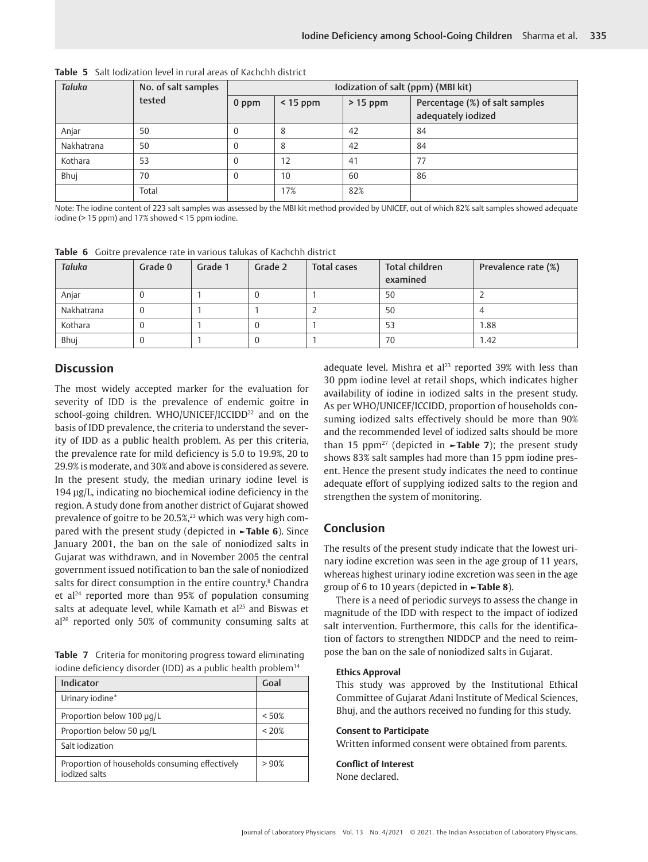| <b>Taluka</b> | No. of salt samples | Iodization of salt (ppm) (MBI kit) |            |           |                                                      |  |  |  |
|---------------|---------------------|------------------------------------|------------|-----------|------------------------------------------------------|--|--|--|
|               | tested              | $0$ ppm                            | $<$ 15 ppm | $>15$ ppm | Percentage (%) of salt samples<br>adequately iodized |  |  |  |
| Anjar         | 50                  |                                    | -8         | 42        | 84                                                   |  |  |  |
| Nakhatrana    | 50                  | $\Omega$                           | 8          | 42        | 84                                                   |  |  |  |
| Kothara       | 53                  |                                    | 12         | 41        | 77                                                   |  |  |  |
| Bhuj          | 70                  | $\Omega$                           | 10         | 60        | 86                                                   |  |  |  |
|               | Total               |                                    | 17%        | 82%       |                                                      |  |  |  |

**Table 5** Salt Iodization level in rural areas of Kachchh district

Note: The iodine content of 223 salt samples was assessed by the MBI kit method provided by UNICEF, out of which 82% salt samples showed adequate iodine (> 15 ppm) and 17% showed < 15 ppm iodine.

| <b>Taluka</b> | Grade 0 | Grade 1 | Grade 2 | <b>Total children</b><br><b>Total cases</b><br>examined |    | Prevalence rate (%) |
|---------------|---------|---------|---------|---------------------------------------------------------|----|---------------------|
| Anjar         |         |         |         |                                                         | 50 |                     |
| Nakhatrana    |         |         |         |                                                         | 50 |                     |
| Kothara       |         |         |         |                                                         | 53 | 1.88                |
| Bhuj          |         |         |         |                                                         | 70 | 1.42                |

**Table 6** Goitre prevalence rate in various talukas of Kachchh district

# **Discussion**

The most widely accepted marker for the evaluation for severity of IDD is the prevalence of endemic goitre in school-going children. WHO/UNICEF/ICCIDD<sup>22</sup> and on the basis of IDD prevalence, the criteria to understand the severity of IDD as a public health problem. As per this criteria, the prevalence rate for mild deficiency is 5.0 to 19.9%, 20 to 29.9% is moderate, and 30% and above is considered as severe. In the present study, the median urinary iodine level is 194 μg/L, indicating no biochemical iodine deficiency in the region. A study done from another district of Gujarat showed prevalence of goitre to be 20.5%,<sup>23</sup> which was very high compared with the present study (depicted in **►Table 6**). Since January 2001, the ban on the sale of noniodized salts in Gujarat was withdrawn, and in November 2005 the central government issued notification to ban the sale of noniodized salts for direct consumption in the entire country.<sup>8</sup> Chandra et al<sup>24</sup> reported more than  $95%$  of population consuming salts at adequate level, while Kamath et al<sup>25</sup> and Biswas et al26 reported only 50% of community consuming salts at

**Table 7** Criteria for monitoring progress toward eliminating iodine deficiency disorder (IDD) as a public health problem<sup>14</sup>

| Indicator                                                       | Goal    |
|-----------------------------------------------------------------|---------|
| Urinary iodine*                                                 |         |
| Proportion below 100 µg/L                                       | < 50%   |
| Proportion below 50 µg/L                                        | $<$ 20% |
| Salt jodization                                                 |         |
| Proportion of households consuming effectively<br>iodized salts | >90%    |

adequate level. Mishra et al<sup>23</sup> reported 39% with less than 30 ppm iodine level at retail shops, which indicates higher availability of iodine in iodized salts in the present study. As per WHO/UNICEF/ICCIDD, proportion of households consuming iodized salts effectively should be more than 90% and the recommended level of iodized salts should be more than 15 ppm<sup>27</sup> (depicted in  $\blacktriangleright$ Table 7); the present study shows 83% salt samples had more than 15 ppm iodine present. Hence the present study indicates the need to continue adequate effort of supplying iodized salts to the region and strengthen the system of monitoring.

# **Conclusion**

The results of the present study indicate that the lowest urinary iodine excretion was seen in the age group of 11 years, whereas highest urinary iodine excretion was seen in the age group of 6 to 10 years (depicted in **►Table 8**).

There is a need of periodic surveys to assess the change in magnitude of the IDD with respect to the impact of iodized salt intervention. Furthermore, this calls for the identification of factors to strengthen NIDDCP and the need to reimpose the ban on the sale of noniodized salts in Gujarat.

#### **Ethics Approval**

This study was approved by the Institutional Ethical Committee of Gujarat Adani Institute of Medical Sciences, Bhuj, and the authors received no funding for this study.

#### **Consent to Participate**

Written informed consent were obtained from parents.

#### **Conflict of Interest**

None declared.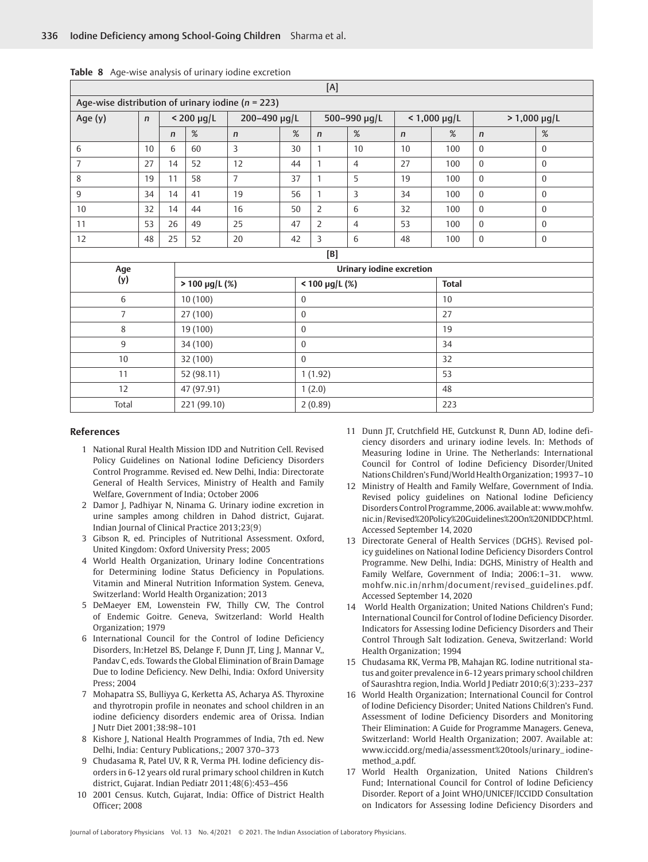| [A]                     |                                                       |              |                     |                |              |                     |                                 |              |                   |              |                   |
|-------------------------|-------------------------------------------------------|--------------|---------------------|----------------|--------------|---------------------|---------------------------------|--------------|-------------------|--------------|-------------------|
|                         | Age-wise distribution of urinary iodine ( $n = 223$ ) |              |                     |                |              |                     |                                 |              |                   |              |                   |
| Age (y)<br>$\mathsf{n}$ |                                                       |              | $< 200$ µg/L        | 200-490 µg/L   |              |                     | 500-990 µg/L                    |              | $< 1,000 \mu g/L$ |              | $> 1,000 \mu g/L$ |
|                         |                                                       | $\mathsf{n}$ | %                   | $\mathsf{n}$   | %            | $\mathsf{n}$        | %                               | $\mathsf{n}$ | %                 | $\mathsf{n}$ | $\%$              |
| 6                       | 10                                                    | 6            | 60                  | 3              | 30           | $\mathbf{1}$        | 10                              | 10           | 100               | $\mathbf{0}$ | $\mathbf{0}$      |
| $\overline{7}$          | 27                                                    | 14           | 52                  | 12             | 44           | $\mathbf{1}$        | $\overline{4}$                  | 27           | 100               | $\mathbf{0}$ | $\mathbf{0}$      |
| 8                       | 19                                                    | 11           | 58                  | $\overline{7}$ | 37           | $\mathbf{1}$        | 5                               | 19           | 100               | $\theta$     | $\mathbf{0}$      |
| 9                       | 34                                                    | 14           | 41                  | 19             | 56           | $\mathbf{1}$        | $\overline{3}$                  | 34           | 100               | $\Omega$     | $\boldsymbol{0}$  |
| 10                      | 32                                                    | 14           | 44                  | 16             | 50           | $\overline{2}$      | 6                               | 32           | 100               | $\mathbf{0}$ | $\mathbf{0}$      |
| 11                      | 53                                                    | 26           | 49                  | 25             | 47           | $\overline{2}$      | $\overline{4}$                  | 53           | 100               | $\theta$     | $\mathbf{0}$      |
| 12                      | 48                                                    | 25           | 52                  | 20             | 42           | $\overline{3}$      | 6                               | 48           | 100               | $\mathbf{0}$ | $\boldsymbol{0}$  |
|                         |                                                       |              |                     |                |              | $[{\mathsf B}]$     |                                 |              |                   |              |                   |
| Age                     |                                                       |              |                     |                |              |                     | <b>Urinary iodine excretion</b> |              |                   |              |                   |
| (y)                     |                                                       |              | $> 100 \mu g/L$ (%) |                |              | $< 100 \mu g/L$ (%) |                                 |              | <b>Total</b>      |              |                   |
| 6                       |                                                       |              | 10(100)             |                | $\mathbf{0}$ |                     |                                 |              | 10                |              |                   |
| $\overline{7}$          |                                                       |              | 27 (100)            |                | $\mathbf{0}$ |                     |                                 |              | 27                |              |                   |
| 8                       |                                                       |              | 19 (100)            |                |              | $\mathbf{0}$        |                                 |              | 19                |              |                   |
| 9                       |                                                       |              | 34 (100)            |                |              | $\mathbf{0}$        |                                 |              | 34                |              |                   |
| 10                      |                                                       |              | 32 (100)            | $\mathbf{0}$   |              |                     |                                 |              | 32                |              |                   |
| 11                      |                                                       |              | 52 (98.11)          | 1(1.92)        |              |                     | 53                              |              |                   |              |                   |
| 12                      |                                                       |              | 47 (97.91)          |                |              | 1(2.0)              |                                 |              | 48                |              |                   |
| Total                   |                                                       |              | 221 (99.10)         |                |              | 2(0.89)             |                                 |              | 223               |              |                   |

**Table 8** Age-wise analysis of urinary iodine excretion

#### **References**

- 1 National Rural Health Mission IDD and Nutrition Cell. Revised Policy Guidelines on National Iodine Deficiency Disorders Control Programme. Revised ed. New Delhi, India: Directorate General of Health Services, Ministry of Health and Family Welfare, Government of India; October 2006
- 2 Damor J, Padhiyar N, Ninama G. Urinary iodine excretion in urine samples among children in Dahod district, Gujarat. Indian Journal of Clinical Practice 2013;23(9)
- 3 Gibson R, ed. Principles of Nutritional Assessment. Oxford, United Kingdom: Oxford University Press; 2005
- 4 World Health Organization, Urinary Iodine Concentrations for Determining Iodine Status Deficiency in Populations. Vitamin and Mineral Nutrition Information System. Geneva, Switzerland: World Health Organization; 2013
- 5 DeMaeyer EM, Lowenstein FW, Thilly CW, The Control of Endemic Goitre. Geneva, Switzerland: World Health Organization; 1979
- 6 International Council for the Control of Iodine Deficiency Disorders, In:Hetzel BS, Delange F, Dunn JT, Ling J, Mannar V,, Pandav C, eds. Towards the Global Elimination of Brain Damage Due to Iodine Deficiency. New Delhi, India: Oxford University Press; 2004
- 7 Mohapatra SS, Bulliyya G, Kerketta AS, Acharya AS. Thyroxine and thyrotropin profile in neonates and school children in an iodine deficiency disorders endemic area of Orissa. Indian J Nutr Diet 2001;38:98–101
- 8 Kishore J, National Health Programmes of India, 7th ed. New Delhi, India: Century Publications,; 2007 370–373
- 9 Chudasama R, Patel UV, R R, Verma PH. Iodine deficiency disorders in 6-12 years old rural primary school children in Kutch district, Gujarat. Indian Pediatr 2011;48(6):453–456
- 10 2001 Census. Kutch, Gujarat, India: Office of District Health Officer; 2008
- 11 Dunn JT, Crutchfield HE, Gutckunst R, Dunn AD, Iodine deficiency disorders and urinary iodine levels. In: Methods of Measuring Iodine in Urine. The Netherlands: International Council for Control of Iodine Deficiency Disorder/United Nations Children's Fund/World Health Organization; 1993 7–10
- 12 Ministry of Health and Family Welfare, Government of India. Revised policy guidelines on National Iodine Deficiency Disorders Control Programme, 2006. available at: www.mohfw. nic.in / Revised%20Policy%20Guidelines%20On%20NIDDCP.html. Accessed September 14, 2020
- 13 Directorate General of Health Services (DGHS). Revised policy guidelines on National Iodine Deficiency Disorders Control Programme. New Delhi, India: DGHS, Ministry of Health and Family Welfare, Government of India; 2006:1–31. www. mohfw.nic.in/nrhm/document/revised\_guidelines.pdf. Accessed September 14, 2020
- 14 World Health Organization; United Nations Children's Fund; International Council for Control of Iodine Deficiency Disorder. Indicators for Assessing Iodine Deficiency Disorders and Their Control Through Salt Iodization. Geneva, Switzerland: World Health Organization; 1994
- 15 Chudasama RK, Verma PB, Mahajan RG. Iodine nutritional status and goiter prevalence in 6-12 years primary school children of Saurashtra region, India. World J Pediatr 2010;6(3):233–237
- 16 World Health Organization; International Council for Control of Iodine Deficiency Disorder; United Nations Children's Fund. Assessment of Iodine Deficiency Disorders and Monitoring Their Elimination: A Guide for Programme Managers. Geneva, Switzerland: World Health Organization; 2007. Available at: www.iccidd.org/media/assessment%20tools/urinary\_ iodinemethod\_a.pdf.
- 17 World Health Organization, United Nations Children's Fund; International Council for Control of Iodine Deficiency Disorder. Report of a Joint WHO/UNICEF/ICCIDD Consultation on Indicators for Assessing Iodine Deficiency Disorders and